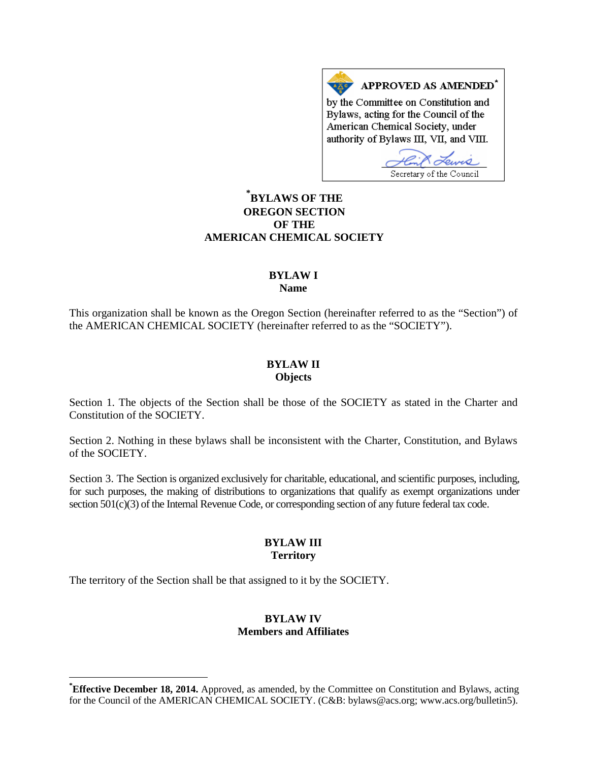APPROVED AS AMENDED<sup>\*</sup> by the Committee on Constitution and Bylaws, acting for the Council of the American Chemical Society, under authority of Bylaws III, VII, and VIII.

Secretary of the Council

# **[\\*](#page-0-0) BYLAWS OF THE OREGON SECTION OF THE AMERICAN CHEMICAL SOCIETY**

#### **BYLAW I Name**

This organization shall be known as the Oregon Section (hereinafter referred to as the "Section") of the AMERICAN CHEMICAL SOCIETY (hereinafter referred to as the "SOCIETY").

#### **BYLAW II Objects**

Section 1. The objects of the Section shall be those of the SOCIETY as stated in the Charter and Constitution of the SOCIETY.

Section 2. Nothing in these bylaws shall be inconsistent with the Charter, Constitution, and Bylaws of the SOCIETY.

Section 3. The Section is organized exclusively for charitable, educational, and scientific purposes, including, for such purposes, the making of distributions to organizations that qualify as exempt organizations under section 501(c)(3) of the Internal Revenue Code, or corresponding section of any future federal tax code.

### **BYLAW III Territory**

The territory of the Section shall be that assigned to it by the SOCIETY.

### **BYLAW IV Members and Affiliates**

<span id="page-0-0"></span>**\* Effective December 18, 2014.** Approved, as amended, by the Committee on Constitution and Bylaws, acting for the Council of the AMERICAN CHEMICAL SOCIETY. (C&B: bylaws@acs.org; www.acs.org/bulletin5).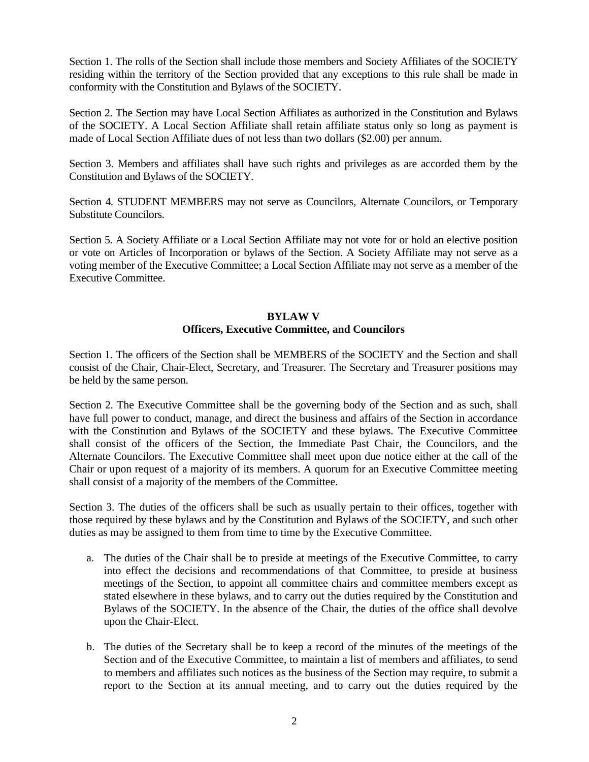Section 1. The rolls of the Section shall include those members and Society Affiliates of the SOCIETY residing within the territory of the Section provided that any exceptions to this rule shall be made in conformity with the Constitution and Bylaws of the SOCIETY.

Section 2. The Section may have Local Section Affiliates as authorized in the Constitution and Bylaws of the SOCIETY. A Local Section Affiliate shall retain affiliate status only so long as payment is made of Local Section Affiliate dues of not less than two dollars (\$2.00) per annum.

Section 3. Members and affiliates shall have such rights and privileges as are accorded them by the Constitution and Bylaws of the SOCIETY.

Section 4. STUDENT MEMBERS may not serve as Councilors, Alternate Councilors, or Temporary Substitute Councilors.

Section 5. A Society Affiliate or a Local Section Affiliate may not vote for or hold an elective position or vote on Articles of Incorporation or bylaws of the Section. A Society Affiliate may not serve as a voting member of the Executive Committee; a Local Section Affiliate may not serve as a member of the Executive Committee.

### **BYLAW V Officers, Executive Committee, and Councilors**

Section 1. The officers of the Section shall be MEMBERS of the SOCIETY and the Section and shall consist of the Chair, Chair-Elect, Secretary, and Treasurer. The Secretary and Treasurer positions may be held by the same person.

Section 2. The Executive Committee shall be the governing body of the Section and as such, shall have full power to conduct, manage, and direct the business and affairs of the Section in accordance with the Constitution and Bylaws of the SOCIETY and these bylaws. The Executive Committee shall consist of the officers of the Section, the Immediate Past Chair, the Councilors, and the Alternate Councilors. The Executive Committee shall meet upon due notice either at the call of the Chair or upon request of a majority of its members. A quorum for an Executive Committee meeting shall consist of a majority of the members of the Committee.

Section 3. The duties of the officers shall be such as usually pertain to their offices, together with those required by these bylaws and by the Constitution and Bylaws of the SOCIETY, and such other duties as may be assigned to them from time to time by the Executive Committee.

- a. The duties of the Chair shall be to preside at meetings of the Executive Committee, to carry into effect the decisions and recommendations of that Committee, to preside at business meetings of the Section, to appoint all committee chairs and committee members except as stated elsewhere in these bylaws, and to carry out the duties required by the Constitution and Bylaws of the SOCIETY. In the absence of the Chair, the duties of the office shall devolve upon the Chair-Elect.
- b. The duties of the Secretary shall be to keep a record of the minutes of the meetings of the Section and of the Executive Committee, to maintain a list of members and affiliates, to send to members and affiliates such notices as the business of the Section may require, to submit a report to the Section at its annual meeting, and to carry out the duties required by the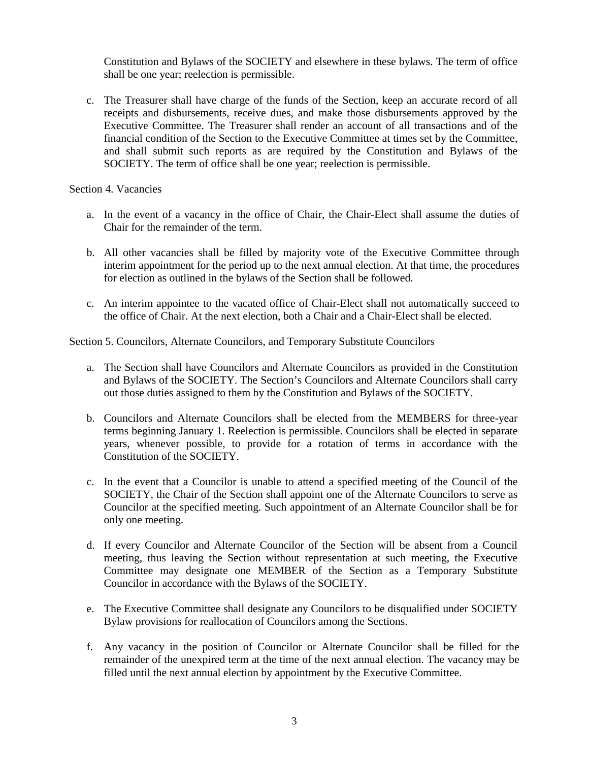Constitution and Bylaws of the SOCIETY and elsewhere in these bylaws. The term of office shall be one year; reelection is permissible.

c. The Treasurer shall have charge of the funds of the Section, keep an accurate record of all receipts and disbursements, receive dues, and make those disbursements approved by the Executive Committee. The Treasurer shall render an account of all transactions and of the financial condition of the Section to the Executive Committee at times set by the Committee, and shall submit such reports as are required by the Constitution and Bylaws of the SOCIETY. The term of office shall be one year; reelection is permissible.

Section 4. Vacancies

- a. In the event of a vacancy in the office of Chair, the Chair-Elect shall assume the duties of Chair for the remainder of the term.
- b. All other vacancies shall be filled by majority vote of the Executive Committee through interim appointment for the period up to the next annual election. At that time, the procedures for election as outlined in the bylaws of the Section shall be followed.
- c. An interim appointee to the vacated office of Chair-Elect shall not automatically succeed to the office of Chair. At the next election, both a Chair and a Chair-Elect shall be elected.

Section 5. Councilors, Alternate Councilors, and Temporary Substitute Councilors

- a. The Section shall have Councilors and Alternate Councilors as provided in the Constitution and Bylaws of the SOCIETY. The Section's Councilors and Alternate Councilors shall carry out those duties assigned to them by the Constitution and Bylaws of the SOCIETY.
- b. Councilors and Alternate Councilors shall be elected from the MEMBERS for three-year terms beginning January 1. Reelection is permissible. Councilors shall be elected in separate years, whenever possible, to provide for a rotation of terms in accordance with the Constitution of the SOCIETY.
- c. In the event that a Councilor is unable to attend a specified meeting of the Council of the SOCIETY, the Chair of the Section shall appoint one of the Alternate Councilors to serve as Councilor at the specified meeting. Such appointment of an Alternate Councilor shall be for only one meeting.
- d. If every Councilor and Alternate Councilor of the Section will be absent from a Council meeting, thus leaving the Section without representation at such meeting, the Executive Committee may designate one MEMBER of the Section as a Temporary Substitute Councilor in accordance with the Bylaws of the SOCIETY.
- e. The Executive Committee shall designate any Councilors to be disqualified under SOCIETY Bylaw provisions for reallocation of Councilors among the Sections.
- f. Any vacancy in the position of Councilor or Alternate Councilor shall be filled for the remainder of the unexpired term at the time of the next annual election. The vacancy may be filled until the next annual election by appointment by the Executive Committee.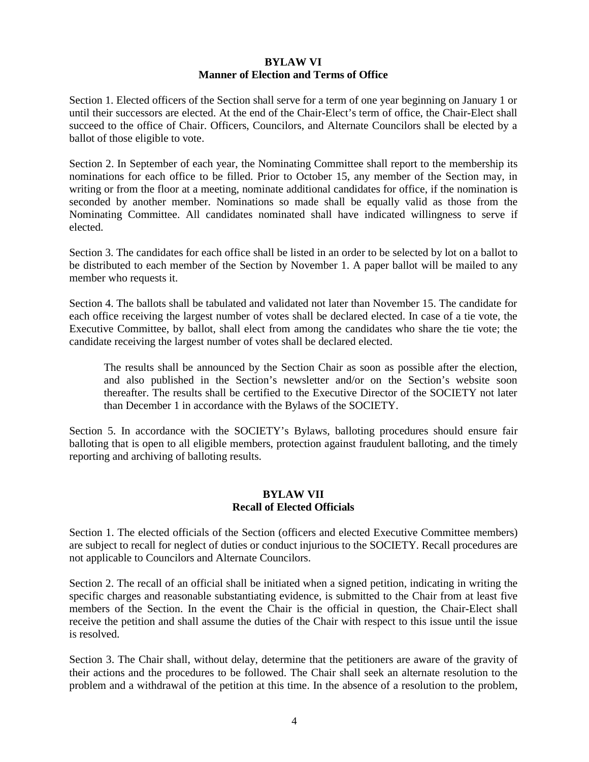### **BYLAW VI Manner of Election and Terms of Office**

Section 1. Elected officers of the Section shall serve for a term of one year beginning on January 1 or until their successors are elected. At the end of the Chair-Elect's term of office, the Chair-Elect shall succeed to the office of Chair. Officers, Councilors, and Alternate Councilors shall be elected by a ballot of those eligible to vote.

Section 2. In September of each year, the Nominating Committee shall report to the membership its nominations for each office to be filled. Prior to October 15, any member of the Section may, in writing or from the floor at a meeting, nominate additional candidates for office, if the nomination is seconded by another member. Nominations so made shall be equally valid as those from the Nominating Committee. All candidates nominated shall have indicated willingness to serve if elected.

Section 3. The candidates for each office shall be listed in an order to be selected by lot on a ballot to be distributed to each member of the Section by November 1. A paper ballot will be mailed to any member who requests it.

Section 4. The ballots shall be tabulated and validated not later than November 15. The candidate for each office receiving the largest number of votes shall be declared elected. In case of a tie vote, the Executive Committee, by ballot, shall elect from among the candidates who share the tie vote; the candidate receiving the largest number of votes shall be declared elected.

The results shall be announced by the Section Chair as soon as possible after the election, and also published in the Section's newsletter and/or on the Section's website soon thereafter. The results shall be certified to the Executive Director of the SOCIETY not later than December 1 in accordance with the Bylaws of the SOCIETY.

Section 5. In accordance with the SOCIETY's Bylaws, balloting procedures should ensure fair balloting that is open to all eligible members, protection against fraudulent balloting, and the timely reporting and archiving of balloting results.

#### **BYLAW VII Recall of Elected Officials**

Section 1. The elected officials of the Section (officers and elected Executive Committee members) are subject to recall for neglect of duties or conduct injurious to the SOCIETY. Recall procedures are not applicable to Councilors and Alternate Councilors.

Section 2. The recall of an official shall be initiated when a signed petition, indicating in writing the specific charges and reasonable substantiating evidence, is submitted to the Chair from at least five members of the Section. In the event the Chair is the official in question, the Chair-Elect shall receive the petition and shall assume the duties of the Chair with respect to this issue until the issue is resolved.

Section 3. The Chair shall, without delay, determine that the petitioners are aware of the gravity of their actions and the procedures to be followed. The Chair shall seek an alternate resolution to the problem and a withdrawal of the petition at this time. In the absence of a resolution to the problem,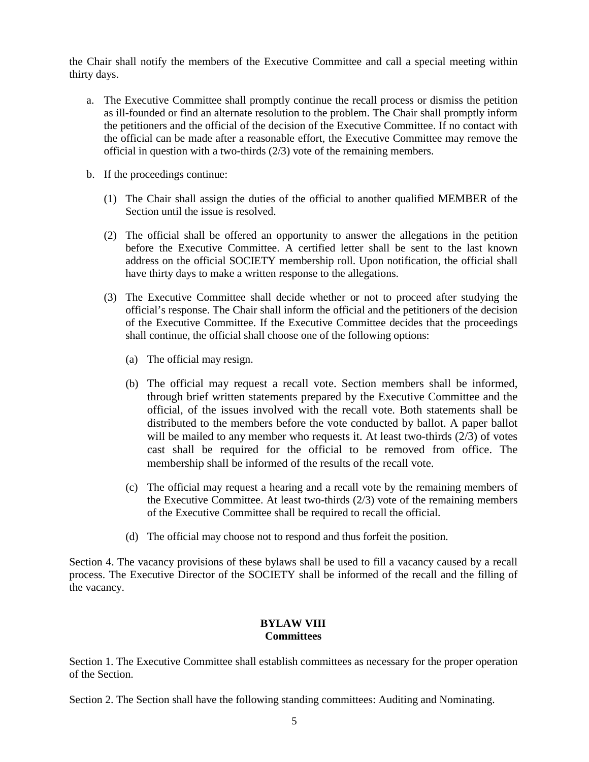the Chair shall notify the members of the Executive Committee and call a special meeting within thirty days.

- a. The Executive Committee shall promptly continue the recall process or dismiss the petition as ill-founded or find an alternate resolution to the problem. The Chair shall promptly inform the petitioners and the official of the decision of the Executive Committee. If no contact with the official can be made after a reasonable effort, the Executive Committee may remove the official in question with a two-thirds (2/3) vote of the remaining members.
- b. If the proceedings continue:
	- (1) The Chair shall assign the duties of the official to another qualified MEMBER of the Section until the issue is resolved.
	- (2) The official shall be offered an opportunity to answer the allegations in the petition before the Executive Committee. A certified letter shall be sent to the last known address on the official SOCIETY membership roll. Upon notification, the official shall have thirty days to make a written response to the allegations.
	- (3) The Executive Committee shall decide whether or not to proceed after studying the official's response. The Chair shall inform the official and the petitioners of the decision of the Executive Committee. If the Executive Committee decides that the proceedings shall continue, the official shall choose one of the following options:
		- (a) The official may resign.
		- (b) The official may request a recall vote. Section members shall be informed, through brief written statements prepared by the Executive Committee and the official, of the issues involved with the recall vote. Both statements shall be distributed to the members before the vote conducted by ballot. A paper ballot will be mailed to any member who requests it. At least two-thirds (2/3) of votes cast shall be required for the official to be removed from office. The membership shall be informed of the results of the recall vote.
		- (c) The official may request a hearing and a recall vote by the remaining members of the Executive Committee. At least two-thirds (2/3) vote of the remaining members of the Executive Committee shall be required to recall the official.
		- (d) The official may choose not to respond and thus forfeit the position.

Section 4. The vacancy provisions of these bylaws shall be used to fill a vacancy caused by a recall process. The Executive Director of the SOCIETY shall be informed of the recall and the filling of the vacancy.

### **BYLAW VIII Committees**

Section 1. The Executive Committee shall establish committees as necessary for the proper operation of the Section.

Section 2. The Section shall have the following standing committees: Auditing and Nominating.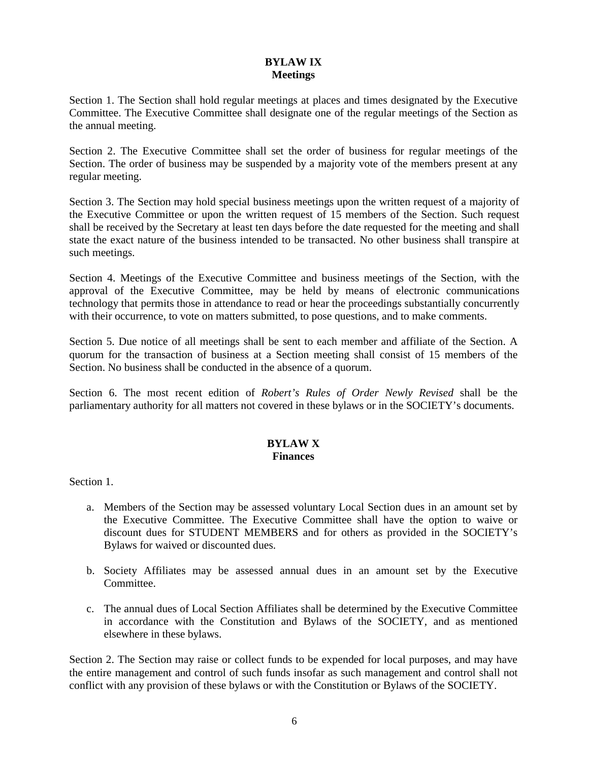### **BYLAW IX Meetings**

Section 1. The Section shall hold regular meetings at places and times designated by the Executive Committee. The Executive Committee shall designate one of the regular meetings of the Section as the annual meeting.

Section 2. The Executive Committee shall set the order of business for regular meetings of the Section. The order of business may be suspended by a majority vote of the members present at any regular meeting.

Section 3. The Section may hold special business meetings upon the written request of a majority of the Executive Committee or upon the written request of 15 members of the Section. Such request shall be received by the Secretary at least ten days before the date requested for the meeting and shall state the exact nature of the business intended to be transacted. No other business shall transpire at such meetings.

Section 4. Meetings of the Executive Committee and business meetings of the Section, with the approval of the Executive Committee, may be held by means of electronic communications technology that permits those in attendance to read or hear the proceedings substantially concurrently with their occurrence, to vote on matters submitted, to pose questions, and to make comments.

Section 5. Due notice of all meetings shall be sent to each member and affiliate of the Section. A quorum for the transaction of business at a Section meeting shall consist of 15 members of the Section. No business shall be conducted in the absence of a quorum.

Section 6. The most recent edition of *Robert's Rules of Order Newly Revised* shall be the parliamentary authority for all matters not covered in these bylaws or in the SOCIETY's documents.

### **BYLAW X Finances**

Section 1.

- a. Members of the Section may be assessed voluntary Local Section dues in an amount set by the Executive Committee. The Executive Committee shall have the option to waive or discount dues for STUDENT MEMBERS and for others as provided in the SOCIETY's Bylaws for waived or discounted dues.
- b. Society Affiliates may be assessed annual dues in an amount set by the Executive Committee.
- c. The annual dues of Local Section Affiliates shall be determined by the Executive Committee in accordance with the Constitution and Bylaws of the SOCIETY, and as mentioned elsewhere in these bylaws.

Section 2. The Section may raise or collect funds to be expended for local purposes, and may have the entire management and control of such funds insofar as such management and control shall not conflict with any provision of these bylaws or with the Constitution or Bylaws of the SOCIETY.